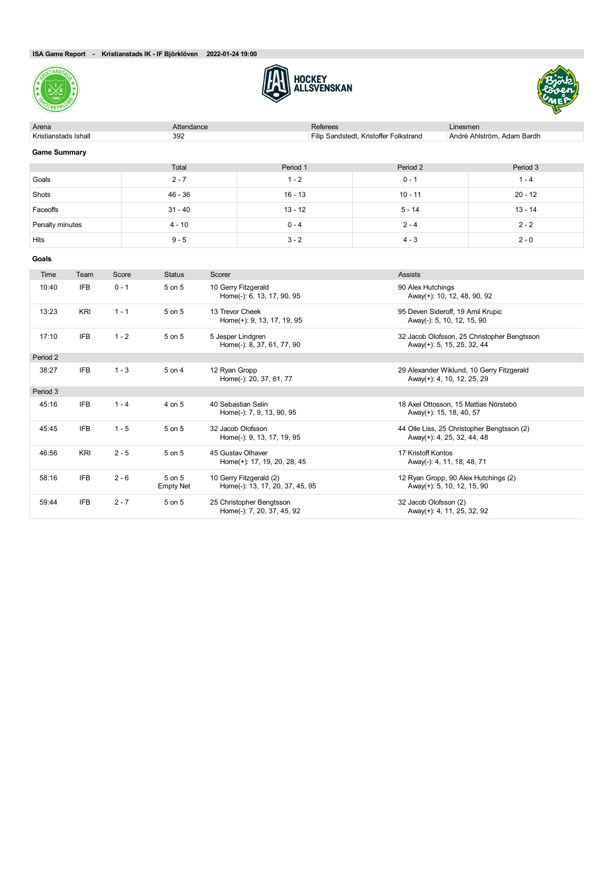





| Arena                | Attendance |           | Referees                               | Linesmen                   |
|----------------------|------------|-----------|----------------------------------------|----------------------------|
| Kristianstads Ishall | 392        |           | Filip Sandstedt, Kristoffer Folkstrand | André Ahlström, Adam Bardh |
| <b>Game Summary</b>  |            |           |                                        |                            |
|                      | Total      | Period 1  | Period 2                               | Period 3                   |
| Goals                | $2 - 7$    | $1 - 2$   | $0 - 1$                                | $1 - 4$                    |
| Shots                | 46 - 36    | $16 - 13$ | $10 - 11$                              | $20 - 12$                  |
| Faceoffs             | $31 - 40$  | $13 - 12$ | $5 - 14$                               | $13 - 14$                  |
| Penalty minutes      | $4 - 10$   | $0 - 4$   | $2 - 4$                                | $2 - 2$                    |
| <b>Hits</b>          | $9 - 5$    | $3 - 2$   | $4 - 3$                                | $2 - 0$                    |
| Goals                |            |           |                                        |                            |

| Time     | Team       | Score   | <b>Status</b>              | Scorer                                                     | <b>Assists</b>                                                            |
|----------|------------|---------|----------------------------|------------------------------------------------------------|---------------------------------------------------------------------------|
| 10:40    | <b>IFB</b> | $0 - 1$ | 5 on 5                     | 10 Gerry Fitzgerald<br>Home(-): 6, 13, 17, 90, 95          | 90 Alex Hutchings<br>Away(+): 10, 12, 48, 90, 92                          |
| 13:23    | <b>KRI</b> | $1 - 1$ | 5 on 5                     | 13 Trevor Cheek<br>Home(+): 9, 13, 17, 19, 95              | 95 Deven Sideroff, 19 Amil Krupic<br>Away(-): 5, 10, 12, 15, 90           |
| 17:10    | <b>IFB</b> | $1 - 2$ | 5 on 5                     | 5 Jesper Lindgren<br>Home(-): 8, 37, 61, 77, 90            | 32 Jacob Olofsson, 25 Christopher Bengtsson<br>Away(+): 5, 15, 25, 32, 44 |
| Period 2 |            |         |                            |                                                            |                                                                           |
| 38:27    | <b>IFB</b> | $1 - 3$ | 5 on 4                     | 12 Ryan Gropp<br>Home(-): 20, 37, 61, 77                   | 29 Alexander Wiklund, 10 Gerry Fitzgerald<br>Away(+): 4, 10, 12, 25, 29   |
| Period 3 |            |         |                            |                                                            |                                                                           |
| 45:16    | <b>IFB</b> | $1 - 4$ | 4 on 5                     | 40 Sebastian Selin<br>Home(-): 7, 9, 13, 90, 95            | 18 Axel Ottosson, 15 Mattias Nörstebö<br>Away(+): 15, 18, 40, 57          |
| 45:45    | <b>IFB</b> | $1 - 5$ | 5 on 5                     | 32 Jacob Olofsson<br>Home(-): 9, 13, 17, 19, 95            | 44 Olle Liss, 25 Christopher Bengtsson (2)<br>Away(+): 4, 25, 32, 44, 48  |
| 46:56    | KRI        | $2 - 5$ | 5 on 5                     | 45 Gustav Olhaver<br>Home(+): 17, 19, 20, 28, 45           | 17 Kristoff Kontos<br>Away(-): 4, 11, 18, 48, 71                          |
| 58:16    | <b>IFB</b> | $2 - 6$ | 5 on 5<br><b>Empty Net</b> | 10 Gerry Fitzgerald (2)<br>Home(-): 13, 17, 20, 37, 45, 95 | 12 Ryan Gropp, 90 Alex Hutchings (2)<br>Away(+): 5, 10, 12, 15, 90        |
| 59:44    | <b>IFB</b> | $2 - 7$ | 5 on 5                     | 25 Christopher Bengtsson<br>Home(-): 7, 20, 37, 45, 92     | 32 Jacob Olofsson (2)<br>Away(+): 4, 11, 25, 32, 92                       |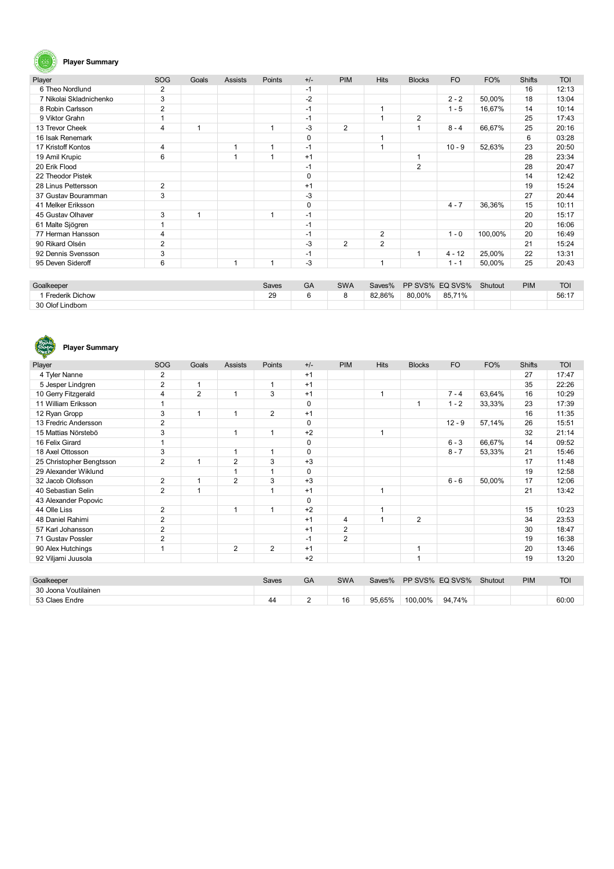# $\mathbf{G}$

### **Player Summary**

| Player                  | SOG            | Goals | <b>Assists</b> | Points | $+/-$       | <b>PIM</b>     | <b>Hits</b>    | <b>Blocks</b>  | <b>FO</b> | FO%     | <b>Shifts</b> | <b>TOI</b> |
|-------------------------|----------------|-------|----------------|--------|-------------|----------------|----------------|----------------|-----------|---------|---------------|------------|
| 6 Theo Nordlund         | 2              |       |                |        | $-1$        |                |                |                |           |         | 16            | 12:13      |
| 7 Nikolai Skladnichenko | 3              |       |                |        | $-2$        |                |                |                | $2 - 2$   | 50,00%  | 18            | 13:04      |
| 8 Robin Carlsson        | $\overline{2}$ |       |                |        | $-1$        |                |                |                | $1 - 5$   | 16,67%  | 14            | 10:14      |
| 9 Viktor Grahn          | 1              |       |                |        | $-1$        |                |                | 2              |           |         | 25            | 17:43      |
| 13 Trevor Cheek         | 4              |       |                | 1      | $-3$        | $\overline{2}$ |                |                | $8 - 4$   | 66.67%  | 25            | 20:16      |
| 16 Isak Renemark        |                |       |                |        | 0           |                |                |                |           |         | 6             | 03:28      |
| 17 Kristoff Kontos      | 4              |       |                | 1      | $-1$        |                |                |                | $10 - 9$  | 52,63%  | 23            | 20:50      |
| 19 Amil Krupic          | 6              |       |                | 1      | $+1$        |                |                |                |           |         | 28            | 23:34      |
| 20 Erik Flood           |                |       |                |        | $-1$        |                |                | $\overline{2}$ |           |         | 28            | 20:47      |
| 22 Theodor Pistek       |                |       |                |        | 0           |                |                |                |           |         | 14            | 12:42      |
| 28 Linus Pettersson     | $\overline{2}$ |       |                |        | $+1$        |                |                |                |           |         | 19            | 15:24      |
| 37 Gustav Bouramman     | 3              |       |                |        | $-3$        |                |                |                |           |         | 27            | 20:44      |
| 41 Melker Eriksson      |                |       |                |        | $\mathbf 0$ |                |                |                | $4 - 7$   | 36,36%  | 15            | 10:11      |
| 45 Gustav Olhaver       | 3              |       |                | 1      | $-1$        |                |                |                |           |         | 20            | 15:17      |
| 61 Malte Sjögren        |                |       |                |        | $-1$        |                |                |                |           |         | 20            | 16:06      |
| 77 Herman Hansson       | $\overline{4}$ |       |                |        | $-1$        |                | 2              |                | $1 - 0$   | 100,00% | 20            | 16:49      |
| 90 Rikard Olsén         | $\overline{2}$ |       |                |        | $-3$        | $\overline{2}$ | $\overline{2}$ |                |           |         | 21            | 15:24      |
| 92 Dennis Svensson      | 3              |       |                |        | $-1$        |                |                |                | $4 - 12$  | 25,00%  | 22            | 13:31      |
| 95 Deven Sideroff       | 6              |       |                | 1      | -3          |                |                |                | $1 - 1$   | 50,00%  | 25            | 20:43      |

| Goalkeeper             | Saves | GA | <b>SWA</b> | Saves% | PP SVS% EQ SVS% |        | Shutout | <b>PIM</b> | <b>TOI</b> |
|------------------------|-------|----|------------|--------|-----------------|--------|---------|------------|------------|
| <b>Frederik Dichow</b> | 29    |    |            | 82.86% | 80.00%          | 85,71% |         |            | 56:17      |
| 30 Olof Lindbom        |       |    |            |        |                 |        |         |            |            |



## **Player Summary**

| Player                   | <b>SOG</b>     | Goals          | <b>Assists</b> | Points       | $+/-$       | <b>PIM</b>     | <b>Hits</b> | <b>Blocks</b>  | <b>FO</b> | FO%    | <b>Shifts</b> | <b>TOI</b> |
|--------------------------|----------------|----------------|----------------|--------------|-------------|----------------|-------------|----------------|-----------|--------|---------------|------------|
| 4 Tyler Nanne            | 2              |                |                |              | $+1$        |                |             |                |           |        | 27            | 17:47      |
| 5 Jesper Lindgren        | 2              | 1              |                | $\mathbf 1$  | $+1$        |                |             |                |           |        | 35            | 22:26      |
| 10 Gerry Fitzgerald      | 4              | $\overline{2}$ | 1              | 3            | $+1$        |                | 1           |                | $7 - 4$   | 63,64% | 16            | 10:29      |
| 11 William Eriksson      |                |                |                |              | 0           |                |             | 1              | $1 - 2$   | 33,33% | 23            | 17:39      |
| 12 Ryan Gropp            | 3              | 1              | 1              | 2            | $+1$        |                |             |                |           |        | 16            | 11:35      |
| 13 Fredric Andersson     | $\overline{2}$ |                |                |              | 0           |                |             |                | $12 - 9$  | 57,14% | 26            | 15:51      |
| 15 Mattias Nörstebö      | 3              |                | 1              | 1            | $+2$        |                |             |                |           |        | 32            | 21:14      |
| 16 Felix Girard          |                |                |                |              | $\mathbf 0$ |                |             |                | $6 - 3$   | 66,67% | 14            | 09:52      |
| 18 Axel Ottosson         | 3              |                | 1              | $\mathbf{1}$ | $\mathbf 0$ |                |             |                | $8 - 7$   | 53,33% | 21            | 15:46      |
| 25 Christopher Bengtsson | $\overline{2}$ | 1              | $\overline{2}$ | 3            | $+3$        |                |             |                |           |        | 17            | 11:48      |
| 29 Alexander Wiklund     |                |                | 1              | 1            | $\mathbf 0$ |                |             |                |           |        | 19            | 12:58      |
| 32 Jacob Olofsson        | $\overline{2}$ | 1              | $\overline{2}$ | 3            | $+3$        |                |             |                | $6 - 6$   | 50,00% | 17            | 12:06      |
| 40 Sebastian Selin       | $\overline{2}$ | 1              |                | 1            | $+1$        |                | 1           |                |           |        | 21            | 13:42      |
| 43 Alexander Popovic     |                |                |                |              | $\Omega$    |                |             |                |           |        |               |            |
| 44 Olle Liss             | 2              |                | 1              | 1            | $+2$        |                | 1           |                |           |        | 15            | 10:23      |
| 48 Daniel Rahimi         | $\overline{2}$ |                |                |              | $+1$        | 4              |             | $\overline{2}$ |           |        | 34            | 23:53      |
| 57 Karl Johansson        | 2              |                |                |              | $+1$        | $\overline{2}$ |             |                |           |        | 30            | 18:47      |
| 71 Gustav Possler        | 2              |                |                |              | $-1$        | $\overline{2}$ |             |                |           |        | 19            | 16:38      |
| 90 Alex Hutchings        | 1              |                | $\overline{2}$ | 2            | $+1$        |                |             |                |           |        | 20            | 13:46      |
| 92 Viljami Juusola       |                |                |                |              | $+2$        |                |             | 4              |           |        | 19            | 13:20      |

| Goalkeeper           | Saves | GA | <b>SWA</b> | Saves% |         | PP SVS% EQ SVS% | Shutout | <b>PIM</b> | <b>TOI</b> |
|----------------------|-------|----|------------|--------|---------|-----------------|---------|------------|------------|
| 30 Joona Voutilainen |       |    |            |        |         |                 |         |            |            |
| 53 Claes Endre       | 44    |    | 16         | 95.65% | 100,00% | 94.74%          |         |            | 60:00      |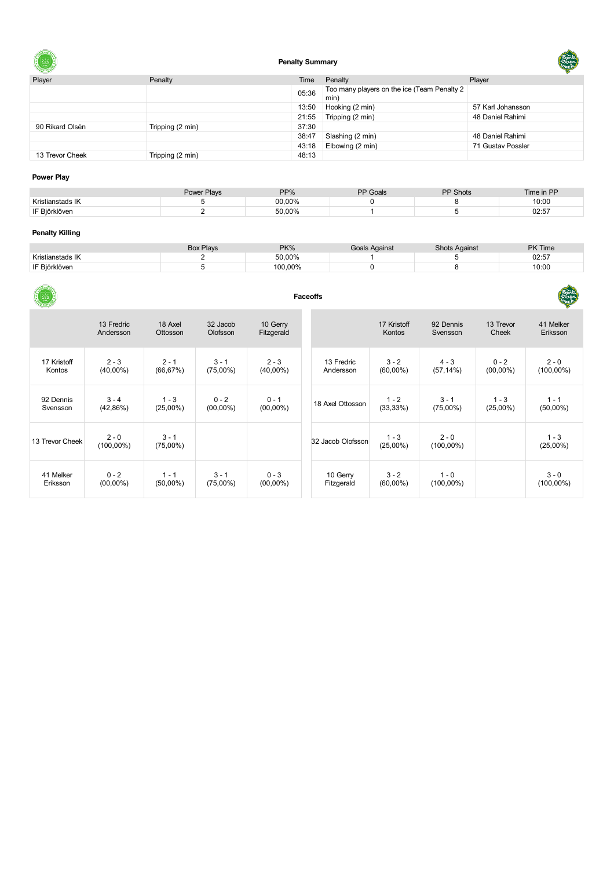

### **Penalty Summary**

| Player          | Penalty          | Time  | Penalty                                            | Player            |
|-----------------|------------------|-------|----------------------------------------------------|-------------------|
|                 |                  | 05:36 | Too many players on the ice (Team Penalty 2<br>min |                   |
|                 |                  | 13:50 | Hooking (2 min)                                    | 57 Karl Johansson |
|                 |                  | 21:55 | Tripping (2 min)                                   | 48 Daniel Rahimi  |
| 90 Rikard Olsén | Tripping (2 min) | 37:30 |                                                    |                   |
|                 |                  | 38:47 | Slashing (2 min)                                   | 48 Daniel Rahimi  |
|                 |                  | 43:18 | Elbowing (2 min)                                   | 71 Gustav Possler |
| 13 Trevor Cheek | Tripping (2 min) | 48:13 |                                                    |                   |

#### **Power Play**

|               | Power Plays | PP%    | <b>PP</b> Goals | <b>PP Shots</b> | Time in PP |
|---------------|-------------|--------|-----------------|-----------------|------------|
| Krietiar      |             | 00,00% |                 |                 | 10:00      |
| IF Riörklöven |             | 50.00% |                 |                 | 02:57      |
|               |             |        |                 |                 |            |

#### **Penalty Killing**

|                  | <b>Box Plays</b> | $PK\%$  | Goals Against | Shots Against | <b>PK Time</b> |
|------------------|------------------|---------|---------------|---------------|----------------|
| Kristianstads IK |                  | 50.00%  |               |               | 02:57          |
| IF Biörklöven    |                  | 100.00% |               |               | 10:00          |

|                 | <b>Faceoffs</b>         |                        |                      |                        |                   |                        |                         |                    |                        |  |  |  |  |
|-----------------|-------------------------|------------------------|----------------------|------------------------|-------------------|------------------------|-------------------------|--------------------|------------------------|--|--|--|--|
|                 | 13 Fredric<br>Andersson | 18 Axel<br>Ottosson    | 32 Jacob<br>Olofsson | 10 Gerry<br>Fitzgerald |                   | 17 Kristoff<br>Kontos  | 92 Dennis<br>Svensson   | 13 Trevor<br>Cheek | 41 Melker<br>Eriksson  |  |  |  |  |
| 17 Kristoff     | $2 - 3$                 | $2 - 1$                | $3 - 1$              | $2 - 3$                | 13 Fredric        | $3 - 2$                | $4 - 3$                 | $0 - 2$            | $2 - 0$                |  |  |  |  |
| Kontos          | $(40,00\%)$             | (66, 67%)              | $(75,00\%)$          | $(40,00\%)$            | Andersson         | $(60,00\%)$            | $(57, 14\%)$            | $(00,00\%)$        | $(100,00\%)$           |  |  |  |  |
| 92 Dennis       | $3 - 4$                 | $1 - 3$                | $0 - 2$              | $0 - 1$                | 18 Axel Ottosson  | $1 - 2$                | $3 - 1$                 | $1 - 3$            | $1 - 1$                |  |  |  |  |
| Svensson        | (42,86%)                | $(25,00\%)$            | $(00,00\%)$          | $(00,00\%)$            |                   | (33, 33%)              | $(75,00\%)$             | $(25,00\%)$        | $(50,00\%)$            |  |  |  |  |
| 13 Trevor Cheek | $2 - 0$<br>$(100,00\%)$ | $3 - 1$<br>$(75,00\%)$ |                      |                        | 32 Jacob Olofsson | $1 - 3$<br>$(25,00\%)$ | $2 - 0$<br>$(100,00\%)$ |                    | $1 - 3$<br>$(25,00\%)$ |  |  |  |  |
| 41 Melker       | $0 - 2$                 | $1 - 1$                | $3 - 1$              | $0 - 3$                | 10 Gerry          | $3 - 2$                | $1 - 0$                 |                    | $3 - 0$                |  |  |  |  |
| Eriksson        | $(00,00\%)$             | $(50,00\%)$            | $(75,00\%)$          | $(00,00\%)$            | Fitzgerald        | $(60,00\%)$            | $(100,00\%)$            |                    | $(100,00\%)$           |  |  |  |  |

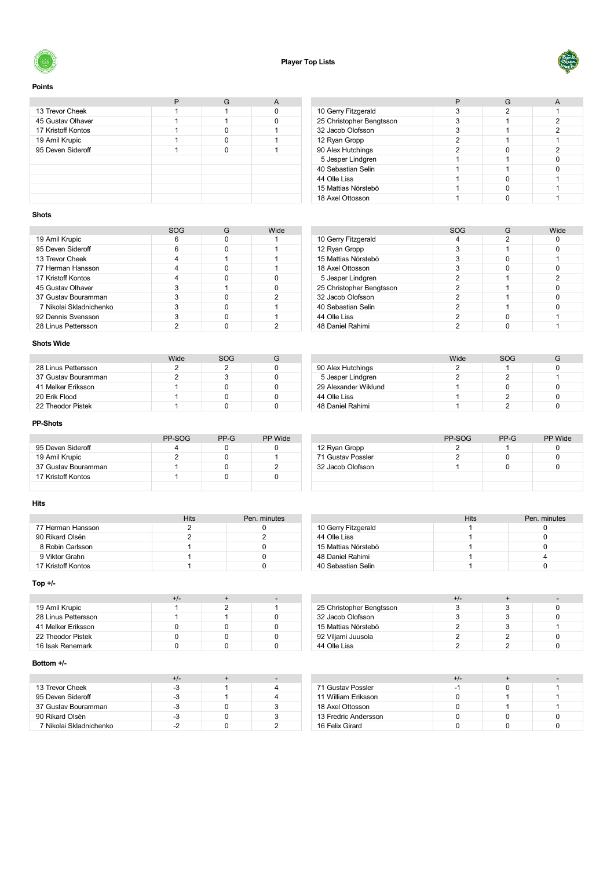



#### **Points**

| 13 Trevor Cheek    |  |  |
|--------------------|--|--|
| 45 Gustav Olhaver  |  |  |
| 17 Kristoff Kontos |  |  |
| 19 Amil Krupic     |  |  |
| 95 Deven Sideroff  |  |  |
|                    |  |  |
|                    |  |  |
|                    |  |  |
|                    |  |  |
|                    |  |  |

| 10 Gerry Fitzgerald      |   |   |
|--------------------------|---|---|
| 25 Christopher Bengtsson |   | 2 |
| 32 Jacob Olofsson        |   |   |
| 12 Ryan Gropp            | 2 |   |
| 90 Alex Hutchings        | 2 | 2 |
| 5 Jesper Lindgren        |   |   |
| 40 Sebastian Selin       |   |   |
| 44 Olle Liss             |   |   |
| 15 Mattias Nörstebö      |   |   |
| 18 Axel Ottosson         |   |   |
|                          |   |   |

#### **Shots**

|                         | SOG | Wide |
|-------------------------|-----|------|
| 19 Amil Krupic          |     |      |
| 95 Deven Sideroff       | 6   |      |
| 13 Trevor Cheek         |     |      |
| 77 Herman Hansson       |     |      |
| 17 Kristoff Kontos      |     |      |
| 45 Gustav Olhaver       | 3   |      |
| 37 Gustav Bouramman     |     | 2    |
| 7 Nikolai Skladnichenko | 3   |      |
| 92 Dennis Svensson      |     |      |
| 28 Linus Pettersson     |     |      |

#### **Shots Wide**

|                     | Wide | SOG |  |
|---------------------|------|-----|--|
| 28 Linus Pettersson |      |     |  |
| 37 Gustav Bouramman |      |     |  |
| 41 Melker Eriksson  |      |     |  |
| 20 Erik Flood       |      |     |  |
| 22 Theodor Pistek   |      |     |  |

#### **PP-Shots**

|                     | PP-SOG | PP-G | <b>PP</b> Wide |
|---------------------|--------|------|----------------|
| 95 Deven Sideroff   |        |      |                |
| 19 Amil Krupic      |        |      |                |
| 37 Gustav Bouramman |        |      |                |
| 17 Kristoff Kontos  |        |      |                |
|                     |        |      |                |

#### **Hits**

|                    | Hits | Pen. minutes |
|--------------------|------|--------------|
| 77 Herman Hansson  |      |              |
| 90 Rikard Olsén    |      |              |
| 8 Robin Carlsson   |      |              |
| 9 Viktor Grahn     |      |              |
| 17 Kristoff Kontos |      |              |

#### **Top +/-**

|                     | +/- |  |
|---------------------|-----|--|
| 19 Amil Krupic      |     |  |
| 28 Linus Pettersson |     |  |
| 41 Melker Eriksson  |     |  |
| 22 Theodor Pistek   |     |  |
| 16 Isak Renemark    |     |  |

#### **Bottom +/-**

| 13 Trevor Cheek         | -3 |  |
|-------------------------|----|--|
| 95 Deven Sideroff       | -3 |  |
| 37 Gustav Bouramman     | -3 |  |
| 90 Rikard Olsén         |    |  |
| 7 Nikolai Skladnichenko |    |  |

|                          | <b>SOG</b> | G | Wide |
|--------------------------|------------|---|------|
| 10 Gerry Fitzgerald      |            | 2 |      |
| 12 Ryan Gropp            | 3          |   |      |
| 15 Mattias Nörstebö      | 3          |   |      |
| 18 Axel Ottosson         | 3          |   |      |
| 5 Jesper Lindgren        | 2          |   | 2    |
| 25 Christopher Bengtsson | 2          |   |      |
| 32 Jacob Olofsson        | 2          |   |      |
| 40 Sebastian Selin       | 2          |   |      |
| 44 Olle Liss             | 2          |   |      |
| 48 Daniel Rahimi         |            |   |      |

|                      | Wide | SOG |  |
|----------------------|------|-----|--|
| 90 Alex Hutchings    |      |     |  |
| 5 Jesper Lindgren    |      |     |  |
| 29 Alexander Wiklund |      |     |  |
| 44 Olle Liss         |      |     |  |
| 48 Daniel Rahimi     |      |     |  |

|                   | PP-SOG | $PP-G$ | PP Wide |
|-------------------|--------|--------|---------|
| 12 Ryan Gropp     |        |        |         |
| 71 Gustav Possler |        |        |         |
| 32 Jacob Olofsson |        |        |         |
|                   |        |        |         |
|                   |        |        |         |

| 10 Gerry Fitzgerald |  |
|---------------------|--|
| 44 Olle Liss        |  |
| 15 Mattias Nörstebö |  |
| 48 Daniel Rahimi    |  |
| 40 Sebastian Selin  |  |

| 25 Christopher Bengtsson |  |  |
|--------------------------|--|--|
| 32 Jacob Olofsson        |  |  |
| 15 Mattias Nörstebö      |  |  |
| 92 Viljami Juusola       |  |  |
| 44 Olle Liss             |  |  |

|                      | +/- |  |
|----------------------|-----|--|
| 71 Gustav Possler    |     |  |
| 11 William Eriksson  |     |  |
| 18 Axel Ottosson     |     |  |
| 13 Fredric Andersson |     |  |
| 16 Felix Girard      |     |  |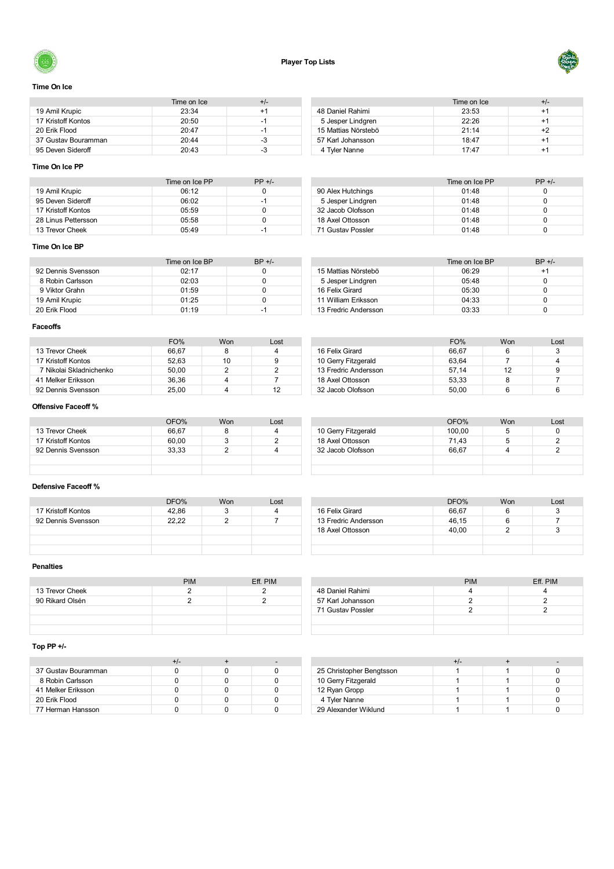



#### **Time On Ice**

|                     | Time on Ice | +/- |
|---------------------|-------------|-----|
| 19 Amil Krupic      | 23:34       | +1  |
| 17 Kristoff Kontos  | 20:50       | -1  |
| 20 Erik Flood       | 20.47       | -1  |
| 37 Gustav Bouramman | 20.44       | -3  |
| 95 Deven Sideroff   | 20:43       | -3  |

#### Time on Ice  $+/-$ <br>23:53  $+1$ 48 Daniel Rahimi 23:53 11.<br>14 23:53 11.<br>14 22:26 11. Jesper Lindgren 22:26 +1 Mattias Nörstebö 21:14 +2 57 Karl Johansson **18:47** +1 4 Tyler Nanne 17:47 +1

#### **Time On Ice PP**

|                     | Time on Ice PP | $PP +/-$ |
|---------------------|----------------|----------|
| 19 Amil Krupic      | 06:12          |          |
| 95 Deven Sideroff   | 06:02          | -1       |
| 17 Kristoff Kontos  | 05:59          |          |
| 28 Linus Pettersson | 05:58          |          |
| 13 Trevor Cheek     | 0.5.49         | -1       |

|                   | Time on Ice PP | $PP +/-$ |
|-------------------|----------------|----------|
| 90 Alex Hutchings | 01:48          |          |
| 5 Jesper Lindgren | 01:48          |          |
| 32 Jacob Olofsson | 01:48          |          |
| 18 Axel Ottosson  | 01:48          |          |
| 71 Gustav Possler | 01:48          |          |

#### **Time On Ice BP**

|                    | Time on Ice BP | $BP +/-$ |
|--------------------|----------------|----------|
| 92 Dennis Svensson | 02.17          |          |
| 8 Robin Carlsson   | 02:03          |          |
| 9 Viktor Grahn     | 01:59          |          |
| 19 Amil Krupic     | 01:25          |          |
| 20 Erik Flood      | 01.19          | -1       |

|                      | Time on Ice BP | $BP +/-$ |
|----------------------|----------------|----------|
| 15 Mattias Nörstebö  | 06.29          | +1       |
| 5 Jesper Lindgren    | 05:48          |          |
| 16 Felix Girard      | 05:30          |          |
| 11 William Eriksson  | 04:33          |          |
| 13 Fredric Andersson | 03:33          |          |

#### **Faceoffs**

|                         | FO%   | Won | Lost |
|-------------------------|-------|-----|------|
| 13 Trevor Cheek         | 66.67 |     |      |
| 17 Kristoff Kontos      | 52.63 | 10  | 9    |
| 7 Nikolai Skladnichenko | 50.00 |     |      |
| 41 Melker Eriksson      | 36.36 |     |      |
| 92 Dennis Svensson      | 25.00 |     |      |

|                      | FO%   | Won | Lost |
|----------------------|-------|-----|------|
| 16 Felix Girard      | 66.67 |     | 3    |
| 10 Gerry Fitzgerald  | 63.64 |     |      |
| 13 Fredric Andersson | 57.14 | 12  | 9    |
| 18 Axel Ottosson     | 53.33 |     |      |
| 32 Jacob Olofsson    | 50.00 |     |      |

#### **Offensive Faceoff %**

|                    | OFO%  | <b>Won</b> | Lost |                     | OFO%   | Won | Lost |
|--------------------|-------|------------|------|---------------------|--------|-----|------|
| 13 Trevor Cheek    | 66,67 |            |      | 10 Gerry Fitzgerald | 100.00 |     |      |
| 17 Kristoff Kontos | 60,00 |            |      | 18 Axel Ottosson    | 71.43  |     |      |
| 92 Dennis Svensson | 33,33 |            |      | 32 Jacob Olofsson   | 66.67  |     |      |
|                    |       |            |      |                     |        |     |      |
|                    |       |            |      |                     |        |     |      |

#### **Defensive Faceoff %**

|                    | DFO%  | Won | Lost |  |
|--------------------|-------|-----|------|--|
| 17 Kristoff Kontos | 42.86 |     |      |  |
| 92 Dennis Svensson | 22.22 |     |      |  |
|                    |       |     |      |  |
|                    |       |     |      |  |
|                    |       |     |      |  |

|                      | DFO%  | Won | Lost |
|----------------------|-------|-----|------|
| 16 Felix Girard      | 66.67 | 6   |      |
| 13 Fredric Andersson | 46,15 | 6   |      |
| 18 Axel Ottosson     | 40.00 |     |      |
|                      |       |     |      |
|                      |       |     |      |

#### **Penalties**

|                 | <b>PIM</b> | Eff. PIM |
|-----------------|------------|----------|
| 13 Trevor Cheek |            |          |
| 90 Rikard Olsén |            |          |
|                 |            |          |
|                 |            |          |
|                 |            |          |

|                   | <b>PIM</b> | Eff. PIM |
|-------------------|------------|----------|
| 48 Daniel Rahimi  |            |          |
| 57 Karl Johansson |            |          |
| 71 Gustav Possler |            |          |
|                   |            |          |
|                   |            |          |

#### **Top PP +/-**

| 37 Gustav Bouramman |  |  |
|---------------------|--|--|
| 8 Robin Carlsson    |  |  |
| 41 Melker Eriksson  |  |  |
| 20 Erik Flood       |  |  |
| 77 Herman Hansson   |  |  |

| 25 Christopher Bengtsson |  |  |
|--------------------------|--|--|
| 10 Gerry Fitzgerald      |  |  |
| 12 Ryan Gropp            |  |  |
| 4 Tyler Nanne            |  |  |
| 29 Alexander Wiklund     |  |  |